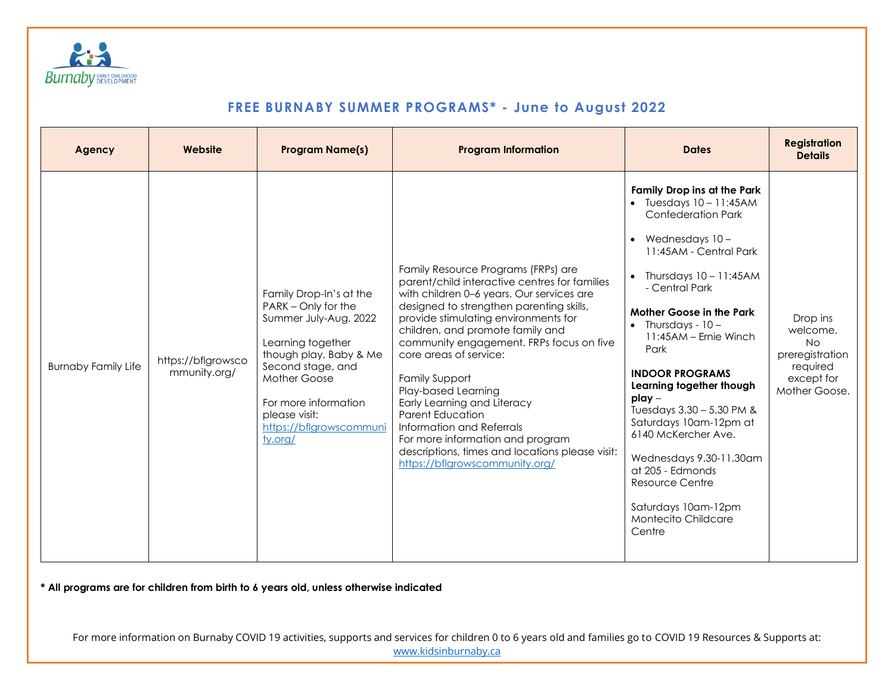

| Agency                     | Website                            | <b>Program Name(s)</b>                                                                                                                                                                                                                     | <b>Program Information</b>                                                                                                                                                                                                                                                                                                                                                                                                                                                                                                                                                                      | <b>Dates</b>                                                                                                                                                                                                                                                                                                                                                                                                                                                                                                                                                                     | <b>Registration</b><br><b>Details</b>                                                           |
|----------------------------|------------------------------------|--------------------------------------------------------------------------------------------------------------------------------------------------------------------------------------------------------------------------------------------|-------------------------------------------------------------------------------------------------------------------------------------------------------------------------------------------------------------------------------------------------------------------------------------------------------------------------------------------------------------------------------------------------------------------------------------------------------------------------------------------------------------------------------------------------------------------------------------------------|----------------------------------------------------------------------------------------------------------------------------------------------------------------------------------------------------------------------------------------------------------------------------------------------------------------------------------------------------------------------------------------------------------------------------------------------------------------------------------------------------------------------------------------------------------------------------------|-------------------------------------------------------------------------------------------------|
| <b>Burnaby Family Life</b> | https://bflgrowsco<br>mmunity.org/ | Family Drop-In's at the<br>PARK - Only for the<br>Summer July-Aug. 2022<br>Learning together<br>though play, Baby & Me<br>Second stage, and<br>Mother Goose<br>For more information<br>please visit:<br>https://bflgrowscommuni<br>ty.org/ | Family Resource Programs (FRPs) are<br>parent/child interactive centres for families<br>with children 0-6 years. Our services are<br>designed to strengthen parenting skills,<br>provide stimulating environments for<br>children, and promote family and<br>community engagement. FRPs focus on five<br>core areas of service:<br><b>Family Support</b><br>Play-based Learning<br>Early Learning and Literacy<br><b>Parent Education</b><br>Information and Referrals<br>For more information and program<br>descriptions, times and locations please visit:<br>https://bflgrowscommunity.org/ | Family Drop ins at the Park<br>$\bullet$ Tuesdays $10 - 11:45AM$<br><b>Confederation Park</b><br>Wednesdays 10-<br>11:45AM - Central Park<br>Thursdays $10 - 11:45AM$<br>$\bullet$<br>- Central Park<br><b>Mother Goose in the Park</b><br>$\bullet$ Thursdays - 10 -<br>11:45AM - Ernie Winch<br>Park<br><b>INDOOR PROGRAMS</b><br>Learning together though<br>$play -$<br>Tuesdays 3.30 - 5.30 PM &<br>Saturdays 10am-12pm at<br>6140 McKercher Ave.<br>Wednesdays 9.30-11.30am<br>at 205 - Edmonds<br>Resource Centre<br>Saturdays 10am-12pm<br>Montecito Childcare<br>Centre | Drop ins<br>welcome.<br><b>No</b><br>preregistration<br>required<br>except for<br>Mother Goose. |

**\* All programs are for children from birth to 6 years old, unless otherwise indicated**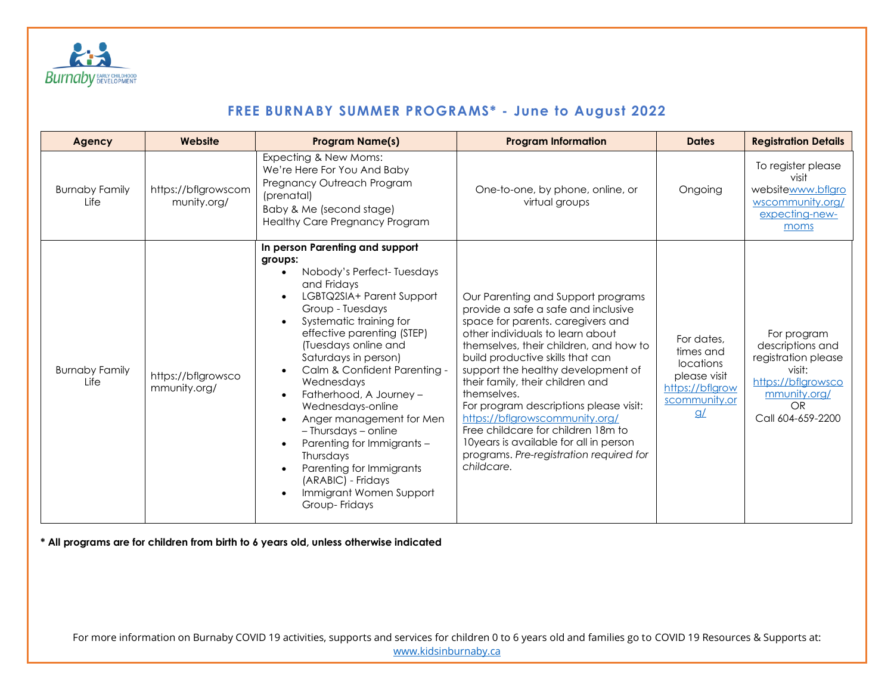

| Agency                        | Website                            | <b>Program Name(s)</b>                                                                                                                                                                                                                                                                                                                                                                                                                                                                                                                                                | <b>Program Information</b>                                                                                                                                                                                                                                                                                                                                                                                                                                                                                                                     | <b>Dates</b>                                                                                                     | <b>Registration Details</b>                                                                                                       |
|-------------------------------|------------------------------------|-----------------------------------------------------------------------------------------------------------------------------------------------------------------------------------------------------------------------------------------------------------------------------------------------------------------------------------------------------------------------------------------------------------------------------------------------------------------------------------------------------------------------------------------------------------------------|------------------------------------------------------------------------------------------------------------------------------------------------------------------------------------------------------------------------------------------------------------------------------------------------------------------------------------------------------------------------------------------------------------------------------------------------------------------------------------------------------------------------------------------------|------------------------------------------------------------------------------------------------------------------|-----------------------------------------------------------------------------------------------------------------------------------|
| <b>Burnaby Family</b><br>Life | https://bflgrowscom<br>munity.org/ | Expecting & New Moms:<br>We're Here For You And Baby<br>Pregnancy Outreach Program<br>(prenatal)<br>Baby & Me (second stage)<br><b>Healthy Care Pregnancy Program</b>                                                                                                                                                                                                                                                                                                                                                                                                 | One-to-one, by phone, online, or<br>virtual groups                                                                                                                                                                                                                                                                                                                                                                                                                                                                                             | Ongoing                                                                                                          | To register please<br>visit<br>websitewww.bflgro<br>wscommunity.org/<br>expecting-new-<br>moms                                    |
| <b>Burnaby Family</b><br>Life | https://bflgrowsco<br>mmunity.org/ | In person Parenting and support<br>groups:<br>Nobody's Perfect-Tuesdays<br>and Fridays<br>LGBTQ2SIA+ Parent Support<br>$\bullet$<br>Group - Tuesdays<br>Systematic training for<br>effective parenting (STEP)<br>(Tuesdays online and<br>Saturdays in person)<br>Calm & Confident Parenting -<br>$\bullet$<br>Wednesdays<br>Fatherhood, A Journey -<br>Wednesdays-online<br>Anger management for Men<br>- Thursdays - online<br>Parenting for Immigrants -<br>Thursdays<br>Parenting for Immigrants<br>(ARABIC) - Fridays<br>Immigrant Women Support<br>Group-Fridays | Our Parenting and Support programs<br>provide a safe a safe and inclusive<br>space for parents. caregivers and<br>other individuals to learn about<br>themselves, their children, and how to<br>build productive skills that can<br>support the healthy development of<br>their family, their children and<br>themselves.<br>For program descriptions please visit:<br>https://bflgrowscommunity.org/<br>Free childcare for children 18m to<br>10years is available for all in person<br>programs. Pre-registration required for<br>childcare. | For dates,<br>times and<br><b>locations</b><br>please visit<br>https://bflgrow<br>scommunity.or<br>$\mathbf{g}/$ | For program<br>descriptions and<br>registration please<br>visit:<br>https://bflgrowsco<br>mmunity.org/<br>OR<br>Call 604-659-2200 |

**\* All programs are for children from birth to 6 years old, unless otherwise indicated**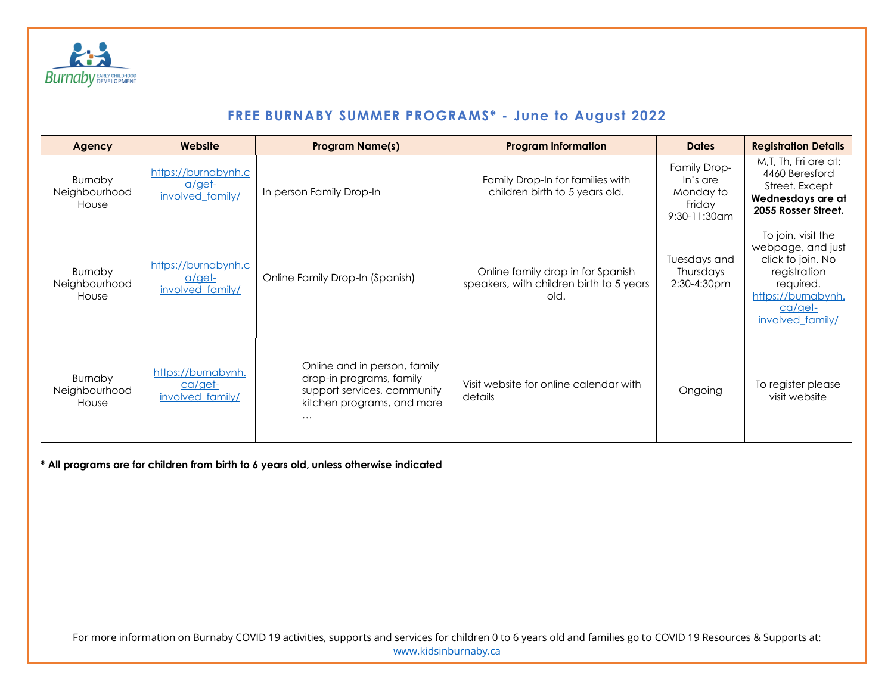

| Agency                                   | Website                                              | <b>Program Name(s)</b>                                                                                                            | <b>Program Information</b>                                                            | <b>Dates</b>                                                       | <b>Registration Details</b>                                                                                                                    |
|------------------------------------------|------------------------------------------------------|-----------------------------------------------------------------------------------------------------------------------------------|---------------------------------------------------------------------------------------|--------------------------------------------------------------------|------------------------------------------------------------------------------------------------------------------------------------------------|
| <b>Burnaby</b><br>Neighbourhood<br>House | https://burnabynh.c<br>$a$ /get-<br>involved family/ | In person Family Drop-In                                                                                                          | Family Drop-In for families with<br>children birth to 5 years old.                    | Family Drop-<br>In's are<br>Monday to<br>Friday<br>$9:30-11:30$ am | M,T, Th, Fri are at:<br>4460 Beresford<br>Street. Except<br>Wednesdays are at<br>2055 Rosser Street.                                           |
| <b>Burnaby</b><br>Neighbourhood<br>House | https://burnabynh.c<br>$a$ /get-<br>involved family/ | Online Family Drop-In (Spanish)                                                                                                   | Online family drop in for Spanish<br>speakers, with children birth to 5 years<br>old. | Tuesdays and<br>Thursdays<br>2:30-4:30pm                           | To join, visit the<br>webpage, and just<br>click to join. No<br>registration<br>required.<br>https://burnabynh.<br>ca/get-<br>involved family/ |
| <b>Burnaby</b><br>Neighbourhood<br>House | https://burnabynh.<br>ca/get-<br>involved family/    | Online and in person, family<br>drop-in programs, family<br>support services, community<br>kitchen programs, and more<br>$\cdots$ | Visit website for online calendar with<br>details                                     | Ongoing                                                            | To register please<br>visit website                                                                                                            |

**\* All programs are for children from birth to 6 years old, unless otherwise indicated**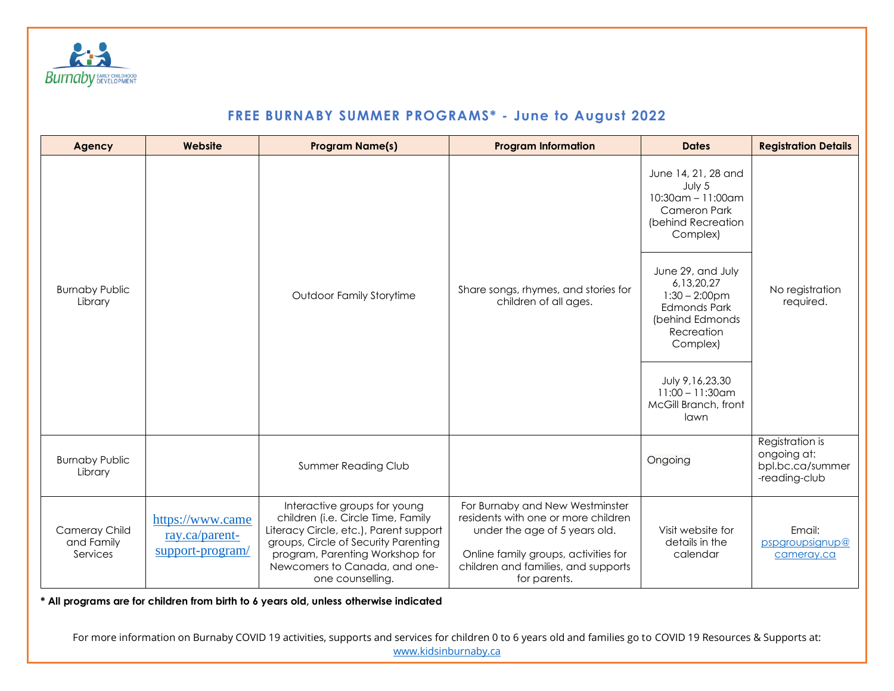

| Agency                                  | Website                                                | <b>Program Name(s)</b>                                                                                                                                                                                                                       | <b>Program Information</b>                                                                                                                                                                             | <b>Dates</b>                                                                                                                                                                                                                                                                | <b>Registration Details</b>                                         |  |
|-----------------------------------------|--------------------------------------------------------|----------------------------------------------------------------------------------------------------------------------------------------------------------------------------------------------------------------------------------------------|--------------------------------------------------------------------------------------------------------------------------------------------------------------------------------------------------------|-----------------------------------------------------------------------------------------------------------------------------------------------------------------------------------------------------------------------------------------------------------------------------|---------------------------------------------------------------------|--|
| <b>Burnaby Public</b><br>Library        |                                                        | <b>Outdoor Family Storytime</b>                                                                                                                                                                                                              | Share songs, rhymes, and stories for<br>children of all ages.                                                                                                                                          | June 14, 21, 28 and<br>July 5<br>$10:30$ am - 11:00am<br>Cameron Park<br>(behind Recreation<br>Complex)<br>June 29, and July<br>6,13,20,27<br>$1:30 - 2:00$ pm<br><b>Edmonds Park</b><br>(behind Edmonds<br>Recreation<br>Complex)<br>July 9,16,23,30<br>$11:00 - 11:30$ am | No registration<br>required.                                        |  |
|                                         |                                                        |                                                                                                                                                                                                                                              |                                                                                                                                                                                                        | McGill Branch, front<br>lawn                                                                                                                                                                                                                                                |                                                                     |  |
| <b>Burnaby Public</b><br>Library        |                                                        | <b>Summer Reading Club</b>                                                                                                                                                                                                                   |                                                                                                                                                                                                        | Ongoing                                                                                                                                                                                                                                                                     | Registration is<br>ongoing at:<br>bpl.bc.ca/summer<br>-reading-club |  |
| Cameray Child<br>and Family<br>Services | https://www.came<br>ray.ca/parent-<br>support-program/ | Interactive groups for young<br>children (i.e. Circle Time, Family<br>Literacy Circle, etc.), Parent support<br>groups, Circle of Security Parenting<br>program, Parenting Workshop for<br>Newcomers to Canada, and one-<br>one counselling. | For Burnaby and New Westminster<br>residents with one or more children<br>under the age of 5 years old.<br>Online family groups, activities for<br>children and families, and supports<br>for parents. | Visit website for<br>details in the<br>calendar                                                                                                                                                                                                                             | Email:<br>pspgroupsignup@<br>cameray.ca                             |  |

**\* All programs are for children from birth to 6 years old, unless otherwise indicated**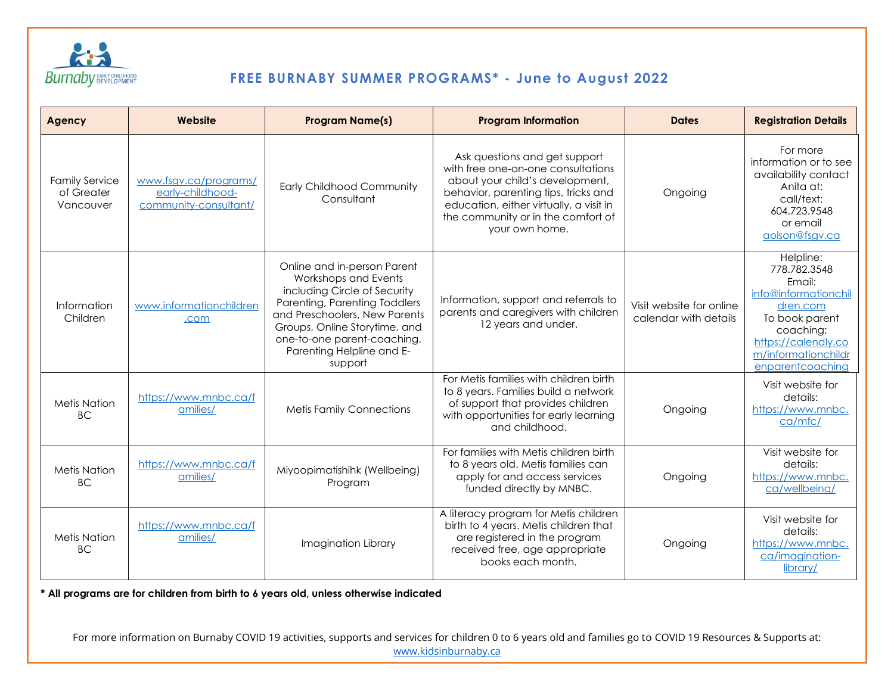

| Agency                                           | Website                                                            | <b>Program Name(s)</b>                                                                                                                                                                                                                                        | <b>Program Information</b>                                                                                                                                                                                                                        | <b>Dates</b>                                      | <b>Registration Details</b>                                                                                                                                              |
|--------------------------------------------------|--------------------------------------------------------------------|---------------------------------------------------------------------------------------------------------------------------------------------------------------------------------------------------------------------------------------------------------------|---------------------------------------------------------------------------------------------------------------------------------------------------------------------------------------------------------------------------------------------------|---------------------------------------------------|--------------------------------------------------------------------------------------------------------------------------------------------------------------------------|
| <b>Family Service</b><br>of Greater<br>Vancouver | www.fsgv.ca/programs/<br>early-childhood-<br>community-consultant/ | <b>Early Childhood Community</b><br>Consultant                                                                                                                                                                                                                | Ask questions and get support<br>with free one-on-one consultations<br>about your child's development,<br>behavior, parenting tips, tricks and<br>education, either virtually, a visit in<br>the community or in the comfort of<br>your own home. | Ongoing                                           | For more<br>information or to see<br>availability contact<br>Anita at:<br>call/text:<br>604.723.9548<br>or email<br>aolson@fsgv.ca                                       |
| Information<br>Children                          | www.informationchildren<br>.com                                    | Online and in-person Parent<br>Workshops and Events<br>including Circle of Security<br>Parenting, Parenting Toddlers<br>and Preschoolers, New Parents<br>Groups, Online Storytime, and<br>one-to-one parent-coaching.<br>Parenting Helpline and E-<br>support | Information, support and referrals to<br>parents and caregivers with children<br>12 years and under.                                                                                                                                              | Visit website for online<br>calendar with details | Helpline:<br>778.782.3548<br>Email:<br>info@informationchil<br>dren.com<br>To book parent<br>coaching:<br>https://calendly.co<br>m/informationchildr<br>enparentcoachina |
| <b>Metis Nation</b><br><b>BC</b>                 | https://www.mnbc.ca/f<br>amilies/                                  | <b>Metis Family Connections</b>                                                                                                                                                                                                                               | For Metis families with children birth<br>to 8 years. Families build a network<br>of support that provides children<br>with opportunities for early learning<br>and childhood.                                                                    | Ongoing                                           | Visit website for<br>details:<br>https://www.mnbc.<br>ca/mfc/                                                                                                            |
| <b>Metis Nation</b><br><b>BC</b>                 | https://www.mnbc.ca/f<br>amilies/                                  | Miyoopimatishihk (Wellbeing)<br>Program                                                                                                                                                                                                                       | For families with Metis children birth<br>to 8 years old. Met is families can<br>apply for and access services<br>funded directly by MNBC.                                                                                                        | Ongoing                                           | Visit website for<br>details:<br>https://www.mnbc.<br>ca/wellbeing/                                                                                                      |
| <b>Metis Nation</b><br><b>BC</b>                 | https://www.mnbc.ca/f<br>amilies/                                  | Imagination Library                                                                                                                                                                                                                                           | A literacy program for Metis children<br>birth to 4 years. Metis children that<br>are registered in the program<br>received free, age appropriate<br>books each month.                                                                            | Ongoing                                           | Visit website for<br>details:<br>https://www.mnbc.<br>ca/imagination-<br>library/                                                                                        |

**\* All programs are for children from birth to 6 years old, unless otherwise indicated**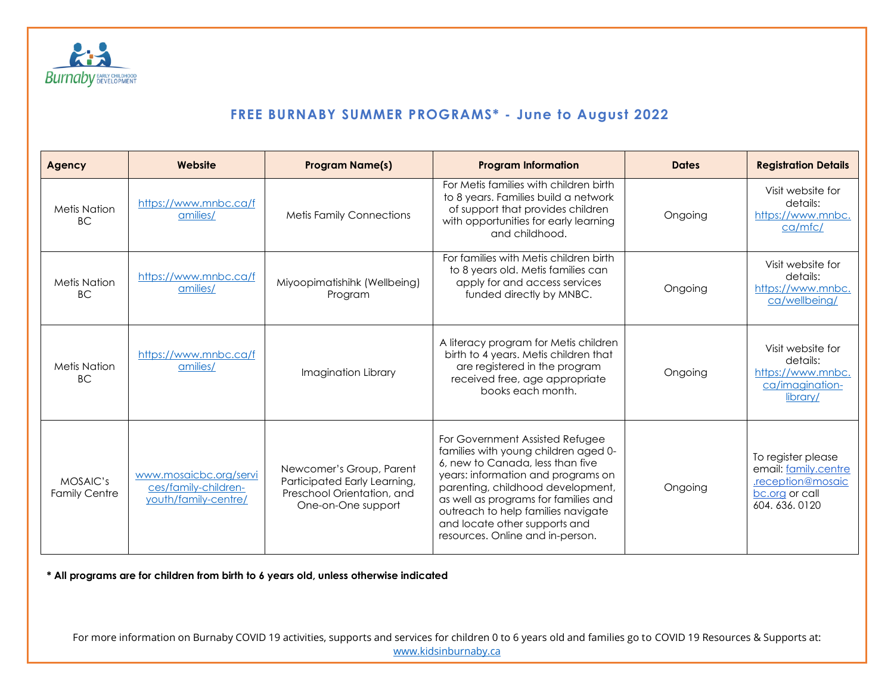

| <b>Agency</b>                    | Website                                                                | <b>Program Name(s)</b>                                                                                       | <b>Program Information</b>                                                                                                                                                                                                                                                                                                                | <b>Dates</b> | <b>Registration Details</b>                                                                       |
|----------------------------------|------------------------------------------------------------------------|--------------------------------------------------------------------------------------------------------------|-------------------------------------------------------------------------------------------------------------------------------------------------------------------------------------------------------------------------------------------------------------------------------------------------------------------------------------------|--------------|---------------------------------------------------------------------------------------------------|
| <b>Metis Nation</b><br><b>BC</b> | https://www.mnbc.ca/f<br>amilies/                                      | <b>Metis Family Connections</b>                                                                              | For Metis families with children birth<br>to 8 years. Families build a network<br>of support that provides children<br>with opportunities for early learning<br>and childhood.                                                                                                                                                            | Ongoing      | Visit website for<br>details:<br>https://www.mnbc.<br>ca/mfc/                                     |
| <b>Metis Nation</b><br><b>BC</b> | https://www.mnbc.ca/f<br>amilies/                                      | Miyoopimatishihk (Wellbeing)<br>Program                                                                      | For families with Metis children birth<br>to 8 years old. Met is families can<br>apply for and access services<br>funded directly by MNBC.                                                                                                                                                                                                | Ongoing      | Visit website for<br>details:<br>https://www.mnbc.<br>ca/wellbeing/                               |
| <b>Metis Nation</b><br><b>BC</b> | https://www.mnbc.ca/f<br>amilies/                                      | Imagination Library                                                                                          | A literacy program for Metis children<br>birth to 4 years. Met is children that<br>are registered in the program<br>received free, age appropriate<br>books each month.                                                                                                                                                                   | Ongoing      | Visit website for<br>details:<br>https://www.mnbc.<br>ca/imagination-<br>library/                 |
| MOSAIC's<br><b>Family Centre</b> | www.mosaicbc.org/servi<br>ces/family-children-<br>youth/family-centre/ | Newcomer's Group, Parent<br>Participated Early Learning,<br>Preschool Orientation, and<br>One-on-One support | For Government Assisted Refugee<br>families with young children aged 0-<br>6, new to Canada, less than five<br>years: information and programs on<br>parenting, childhood development,<br>as well as programs for families and<br>outreach to help families navigate<br>and locate other supports and<br>resources. Online and in-person. | Ongoing      | To register please<br>email: family.centre<br>.reception@mosaic<br>bc.org or call<br>604.636.0120 |

**\* All programs are for children from birth to 6 years old, unless otherwise indicated**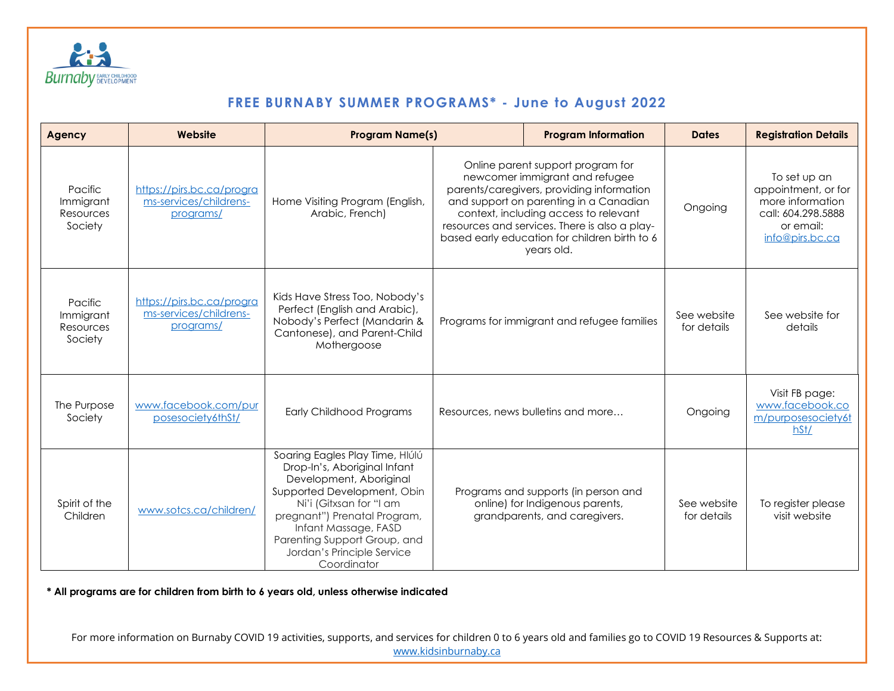

| Agency                                       | Website                                                          | <b>Program Name(s)</b>                                                                                                                                                                                                                                                                    |                                                                                                                                                                                                                                                                                                                     | <b>Program Information</b>                                                                               | <b>Dates</b>               | <b>Registration Details</b>                                                                                   |
|----------------------------------------------|------------------------------------------------------------------|-------------------------------------------------------------------------------------------------------------------------------------------------------------------------------------------------------------------------------------------------------------------------------------------|---------------------------------------------------------------------------------------------------------------------------------------------------------------------------------------------------------------------------------------------------------------------------------------------------------------------|----------------------------------------------------------------------------------------------------------|----------------------------|---------------------------------------------------------------------------------------------------------------|
| Pacific<br>Immigrant<br>Resources<br>Society | https://pirs.bc.ca/progra<br>ms-services/childrens-<br>programs/ | Home Visiting Program (English,<br>Arabic, French)                                                                                                                                                                                                                                        | Online parent support program for<br>newcomer immigrant and refugee<br>parents/caregivers, providing information<br>and support on parenting in a Canadian<br>context, including access to relevant<br>resources and services. There is also a play-<br>based early education for children birth to 6<br>years old. |                                                                                                          | Ongoing                    | To set up an<br>appointment, or for<br>more information<br>call: 604.298.5888<br>or email:<br>info@pirs.bc.ca |
| Pacific<br>Immigrant<br>Resources<br>Society | https://pirs.bc.ca/progra<br>ms-services/childrens-<br>programs/ | Kids Have Stress Too, Nobody's<br>Perfect (English and Arabic),<br>Nobody's Perfect (Mandarin &<br>Cantonese), and Parent-Child<br>Mothergoose                                                                                                                                            | Programs for immigrant and refugee families                                                                                                                                                                                                                                                                         |                                                                                                          | See website<br>for details | See website for<br>details                                                                                    |
| The Purpose<br>Society                       | www.facebook.com/pur<br>posesociety6thSt/                        | Early Childhood Programs                                                                                                                                                                                                                                                                  |                                                                                                                                                                                                                                                                                                                     | Resources, news bulletins and more                                                                       | Ongoing                    | Visit FB page:<br>www.facebook.co<br>m/purposesociety6t<br>hSt/                                               |
| Spirit of the<br>Children                    | www.sotcs.ca/children/                                           | Soaring Eagles Play Time, Hlúlú<br>Drop-In's, Aboriginal Infant<br>Development, Aboriginal<br>Supported Development, Obin<br>Ni'i (Gitxsan for "I am<br>pregnant") Prenatal Program,<br>Infant Massage, FASD<br>Parenting Support Group, and<br>Jordan's Principle Service<br>Coordinator |                                                                                                                                                                                                                                                                                                                     | Programs and supports (in person and<br>online) for Indigenous parents,<br>grandparents, and caregivers. | See website<br>for details | To register please<br>visit website                                                                           |

**\* All programs are for children from birth to 6 years old, unless otherwise indicated**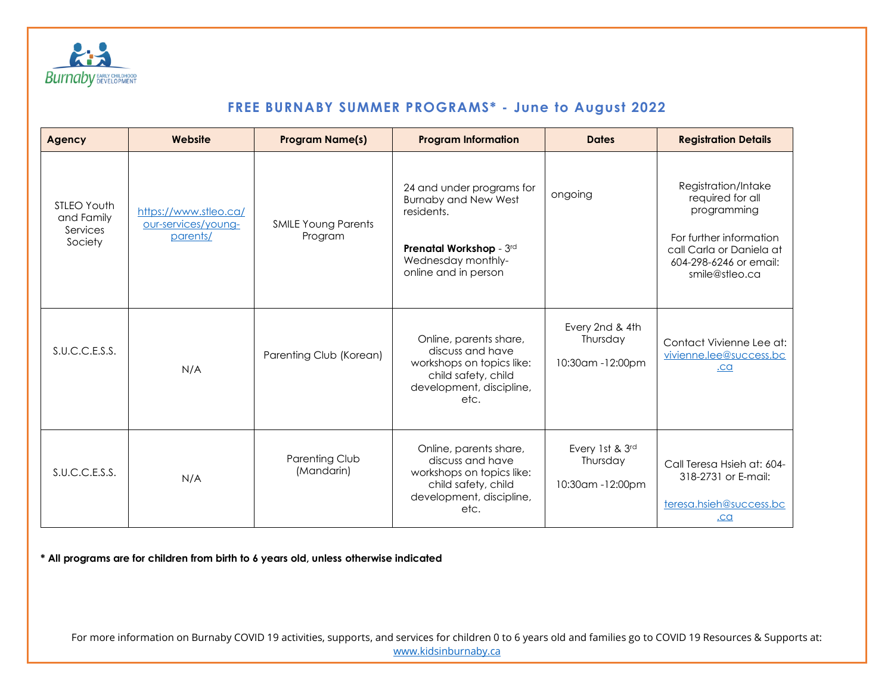

| <b>Agency</b>                                           | Website                                                  | <b>Program Name(s)</b>                | <b>Program Information</b>                                                                                                                      | <b>Dates</b>                                    | <b>Registration Details</b>                                                                                                                               |
|---------------------------------------------------------|----------------------------------------------------------|---------------------------------------|-------------------------------------------------------------------------------------------------------------------------------------------------|-------------------------------------------------|-----------------------------------------------------------------------------------------------------------------------------------------------------------|
| <b>STLEO Youth</b><br>and Family<br>Services<br>Society | https://www.stleo.ca/<br>our-services/young-<br>parents/ | <b>SMILE Young Parents</b><br>Program | 24 and under programs for<br><b>Burnaby and New West</b><br>residents.<br>Prenatal Workshop - 3rd<br>Wednesday monthly-<br>online and in person | ongoing                                         | Registration/Intake<br>required for all<br>programming<br>For further information<br>call Carla or Daniela at<br>604-298-6246 or email:<br>smile@stleo.ca |
| S.U.C.C.E.S.S.                                          | N/A                                                      | Parenting Club (Korean)               | Online, parents share,<br>discuss and have<br>workshops on topics like:<br>child safety, child<br>development, discipline,<br>etc.              | Every 2nd & 4th<br>Thursday<br>10:30am -12:00pm | Contact Vivienne Lee at:<br>vivienne.lee@success.bc<br>.ca                                                                                                |
| S.U.C.C.E.S.S.                                          | N/A                                                      | Parenting Club<br>(Mandarin)          | Online, parents share,<br>discuss and have<br>workshops on topics like:<br>child safety, child<br>development, discipline,<br>etc.              | Every 1st & 3rd<br>Thursday<br>10:30am -12:00pm | Call Teresa Hsieh at: 604-<br>318-2731 or E-mail:<br>teresa.hsieh@success.bc<br>.ca                                                                       |

**\* All programs are for children from birth to 6 years old, unless otherwise indicated**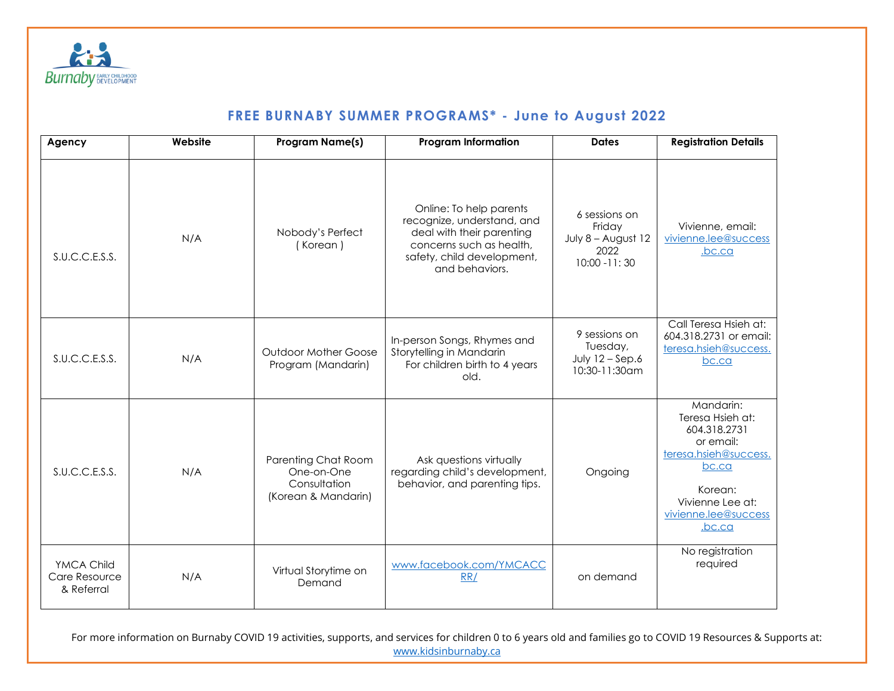

| Agency                                    | Website | <b>Program Name(s)</b>                                                   | <b>Program Information</b>                                                                                                                                     | <b>Dates</b>                                                             | <b>Registration Details</b>                                                                                                                                   |
|-------------------------------------------|---------|--------------------------------------------------------------------------|----------------------------------------------------------------------------------------------------------------------------------------------------------------|--------------------------------------------------------------------------|---------------------------------------------------------------------------------------------------------------------------------------------------------------|
| S.U.C.C.E.S.S.                            | N/A     | Nobody's Perfect<br>(Korean)                                             | Online: To help parents<br>recognize, understand, and<br>deal with their parenting<br>concerns such as health,<br>safety, child development,<br>and behaviors. | 6 sessions on<br>Friday<br>July 8 - August 12<br>2022<br>$10:00 - 11:30$ | Vivienne, email:<br>vivienne.lee@success<br>.bc.ca                                                                                                            |
| S.U.C.C.E.S.S.                            | N/A     | <b>Outdoor Mother Goose</b><br>Program (Mandarin)                        | In-person Songs, Rhymes and<br>Storytelling in Mandarin<br>For children birth to 4 years<br>old.                                                               | 9 sessions on<br>Tuesday,<br>July $12 -$ Sep.6<br>10:30-11:30am          | Call Teresa Hsieh at:<br>604.318.2731 or email:<br>teresa.hsieh@success.<br>bc.ca                                                                             |
| S.U.C.C.E.S.S.                            | N/A     | Parenting Chat Room<br>One-on-One<br>Consultation<br>(Korean & Mandarin) | Ask questions virtually<br>regarding child's development,<br>behavior, and parenting tips.                                                                     | Ongoing                                                                  | Mandarin:<br>Teresa Hsieh at:<br>604.318.2731<br>or email:<br>teresa.hsieh@success.<br>bc.ca<br>Korean:<br>Vivienne Lee at:<br>vivienne.lee@success<br>.bc.ca |
| YMCA Child<br>Care Resource<br>& Referral | N/A     | Virtual Storytime on<br>Demand                                           | www.facebook.com/YMCACC<br>RR/                                                                                                                                 | on demand                                                                | No registration<br>required                                                                                                                                   |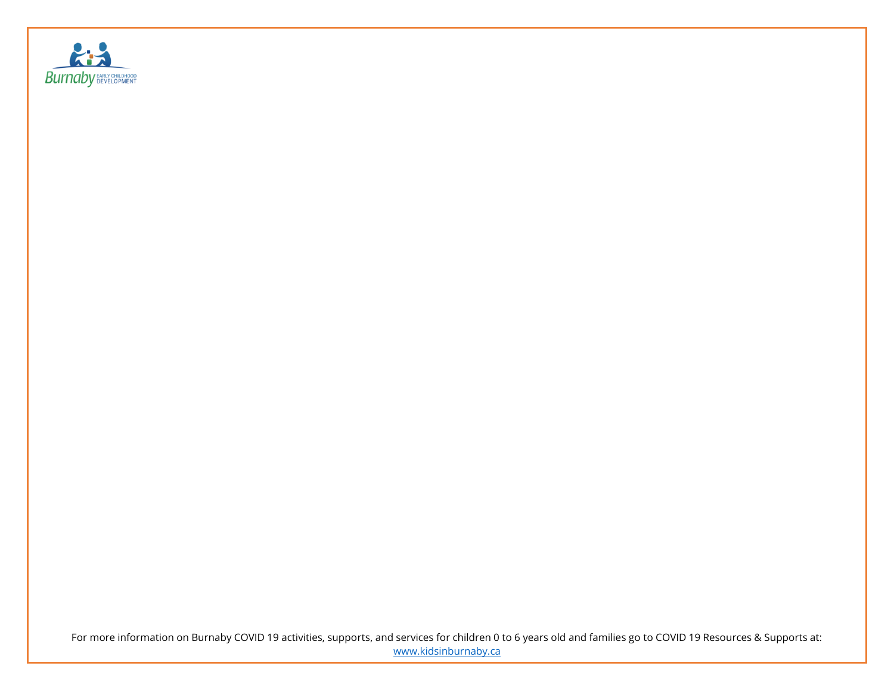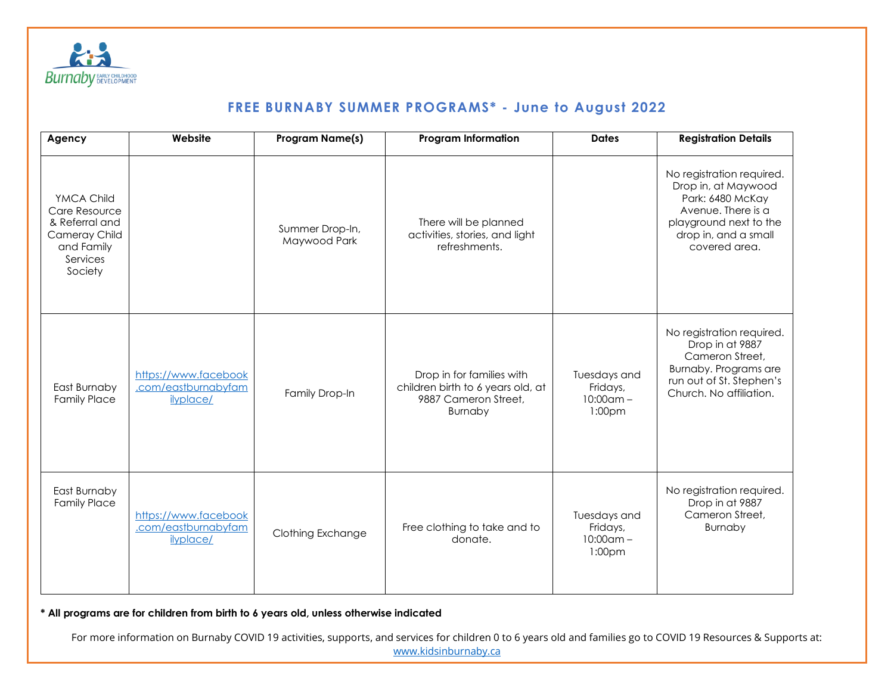

| Agency                                                                                              | Website                                                  | <b>Program Name(s)</b>          | <b>Program Information</b>                                                                        | <b>Dates</b>                                                   | <b>Registration Details</b>                                                                                                                                   |
|-----------------------------------------------------------------------------------------------------|----------------------------------------------------------|---------------------------------|---------------------------------------------------------------------------------------------------|----------------------------------------------------------------|---------------------------------------------------------------------------------------------------------------------------------------------------------------|
| YMCA Child<br>Care Resource<br>& Referral and<br>Cameray Child<br>and Family<br>Services<br>Society |                                                          | Summer Drop-In,<br>Maywood Park | There will be planned<br>activities, stories, and light<br>refreshments.                          |                                                                | No registration required.<br>Drop in, at Maywood<br>Park: 6480 McKay<br>Avenue. There is a<br>playground next to the<br>drop in, and a small<br>covered area. |
| East Burnaby<br><b>Family Place</b>                                                                 | https://www.facebook<br>.com/eastburnabyfam<br>ilyplace/ | Family Drop-In                  | Drop in for families with<br>children birth to 6 years old, at<br>9887 Cameron Street,<br>Burnaby | Tuesdays and<br>Fridays,<br>$10:00$ am -<br>1:00 <sub>pm</sub> | No registration required.<br>Drop in at 9887<br>Cameron Street,<br>Burnaby. Programs are<br>run out of St. Stephen's<br>Church. No affiliation.               |
| East Burnaby<br><b>Family Place</b>                                                                 | https://www.facebook<br>.com/eastburnabyfam<br>ilyplace/ | Clothing Exchange               | Free clothing to take and to<br>donate.                                                           | Tuesdays and<br>Fridays,<br>$10:00$ am -<br>1:00pm             | No registration required.<br>Drop in at 9887<br>Cameron Street,<br>Burnaby                                                                                    |

**\* All programs are for children from birth to 6 years old, unless otherwise indicated**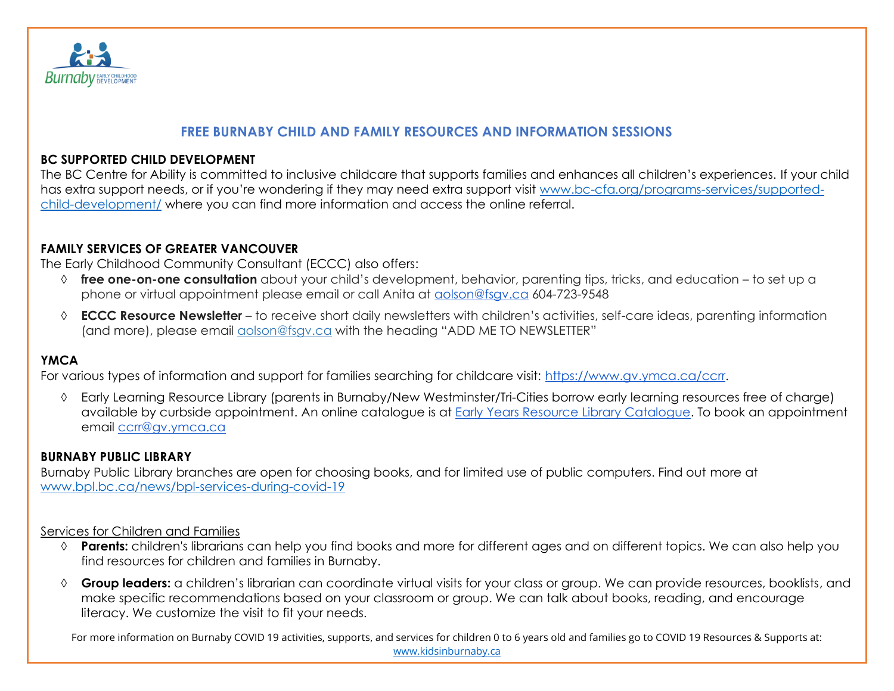

#### **FREE BURNABY CHILD AND FAMILY RESOURCES AND INFORMATION SESSIONS**

#### **BC SUPPORTED CHILD DEVELOPMENT**

The BC Centre for Ability is committed to inclusive childcare that supports families and enhances all children's experiences. If your child has extra support needs, or if you're wondering if they may need extra support visit [www.bc-cfa.org/programs-services/supported](http://www.bc-cfa.org/programs-services/supported-child-development/)[child-development/](http://www.bc-cfa.org/programs-services/supported-child-development/) where you can find more information and access the online referral.

#### **FAMILY SERVICES OF GREATER VANCOUVER**

The Early Childhood Community Consultant (ECCC) also offers:

- **free one-on-one consultation** about your child's development, behavior, parenting tips, tricks, and education to set up a phone or virtual appointment please email or call Anita at [aolson@fsgv.ca](mailto:aolson@fsgv.ca) 604-723-9548
- **ECCC Resource Newsletter** to receive short daily newsletters with children's activities, self-care ideas, parenting information (and more), please email [aolson@fsgv.ca](mailto:aolson@fsgv.ca) with the heading "ADD ME TO NEWSLETTER"

### **YMCA**

For various types of information and support for families searching for childcare visit: [https://www.gv.ymca.ca/ccrr.](https://www.gv.ymca.ca/ccrr)

 Early Learning Resource Library (parents in Burnaby/New Westminster/Tri-Cities borrow early learning resources free of charge) available by curbside appointment. An online catalogue is at Early Years Resource Library [Catalogue.](http://www.ymcastrongfoundations.org/getmedia/374d2c29-2f05-4537-9ee9-29fc77258f60/2020-CCRR-Early-Learning-Library-Catalogue_August-2020) To book an appointment email [ccrr@gv.ymca.ca](mailto:ccrr@gv.ymca.ca)

#### **BURNABY PUBLIC LIBRARY**

Burnaby Public Library branches are open for choosing books, and for limited use of public computers. Find out more at [www.bpl.bc.ca/news/bpl-services-during-covid-19](http://www.bpl.bc.ca/news/bpl-services-during-covid-19)

#### Services for Children and Families

- **Parents:** children's librarians can help you find books and more for different ages and on different topics. We can also help you find resources for children and families in Burnaby.
- **Group leaders:** a children's librarian can coordinate virtual visits for your class or group. We can provide resources, booklists, and make specific recommendations based on your classroom or group. We can talk about books, reading, and encourage literacy. We customize the visit to fit your needs.